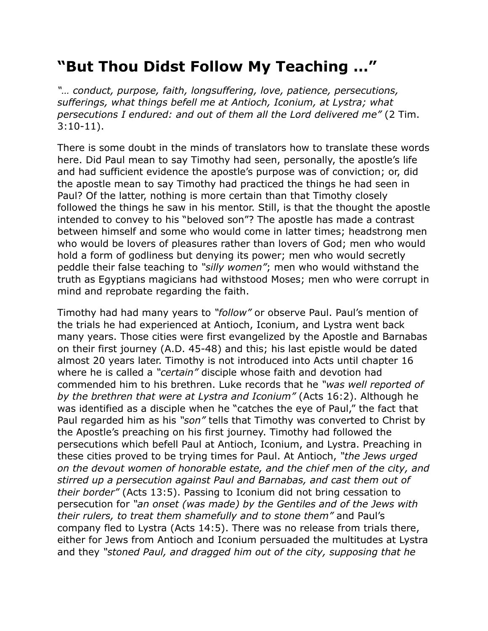## **"But Thou Didst Follow My Teaching …"**

*"… conduct, purpose, faith, longsuffering, love, patience, persecutions, sufferings, what things befell me at Antioch, Iconium, at Lystra; what persecutions I endured: and out of them all the Lord delivered me"* (2 Tim. 3:10-11).

There is some doubt in the minds of translators how to translate these words here. Did Paul mean to say Timothy had seen, personally, the apostle's life and had sufficient evidence the apostle's purpose was of conviction; or, did the apostle mean to say Timothy had practiced the things he had seen in Paul? Of the latter, nothing is more certain than that Timothy closely followed the things he saw in his mentor. Still, is that the thought the apostle intended to convey to his "beloved son"? The apostle has made a contrast between himself and some who would come in latter times; headstrong men who would be lovers of pleasures rather than lovers of God; men who would hold a form of godliness but denying its power; men who would secretly peddle their false teaching to *"silly women"*; men who would withstand the truth as Egyptians magicians had withstood Moses; men who were corrupt in mind and reprobate regarding the faith.

Timothy had had many years to *"follow"* or observe Paul. Paul's mention of the trials he had experienced at Antioch, Iconium, and Lystra went back many years. Those cities were first evangelized by the Apostle and Barnabas on their first journey (A.D. 45-48) and this; his last epistle would be dated almost 20 years later. Timothy is not introduced into Acts until chapter 16 where he is called a *"certain"* disciple whose faith and devotion had commended him to his brethren. Luke records that he *"was well reported of by the brethren that were at Lystra and Iconium"* (Acts 16:2). Although he was identified as a disciple when he "catches the eye of Paul," the fact that Paul regarded him as his *"son"* tells that Timothy was converted to Christ by the Apostle's preaching on his first journey. Timothy had followed the persecutions which befell Paul at Antioch, Iconium, and Lystra. Preaching in these cities proved to be trying times for Paul. At Antioch, *"the Jews urged on the devout women of honorable estate, and the chief men of the city, and stirred up a persecution against Paul and Barnabas, and cast them out of their border"* (Acts 13:5). Passing to Iconium did not bring cessation to persecution for *"an onset (was made) by the Gentiles and of the Jews with their rulers, to treat them shamefully and to stone them"* and Paul's company fled to Lystra (Acts 14:5). There was no release from trials there, either for Jews from Antioch and Iconium persuaded the multitudes at Lystra and they *"stoned Paul, and dragged him out of the city, supposing that he*